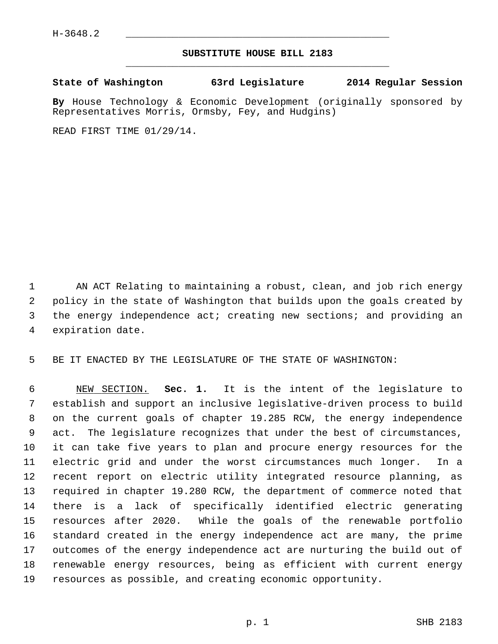## **SUBSTITUTE HOUSE BILL 2183** \_\_\_\_\_\_\_\_\_\_\_\_\_\_\_\_\_\_\_\_\_\_\_\_\_\_\_\_\_\_\_\_\_\_\_\_\_\_\_\_\_\_\_\_\_

**State of Washington 63rd Legislature 2014 Regular Session**

**By** House Technology & Economic Development (originally sponsored by Representatives Morris, Ormsby, Fey, and Hudgins)

READ FIRST TIME 01/29/14.

 1 AN ACT Relating to maintaining a robust, clean, and job rich energy 2 policy in the state of Washington that builds upon the goals created by 3 the energy independence act; creating new sections; and providing an 4 expiration date.

5 BE IT ENACTED BY THE LEGISLATURE OF THE STATE OF WASHINGTON:

 6 NEW SECTION. **Sec. 1.** It is the intent of the legislature to 7 establish and support an inclusive legislative-driven process to build 8 on the current goals of chapter 19.285 RCW, the energy independence 9 act. The legislature recognizes that under the best of circumstances, 10 it can take five years to plan and procure energy resources for the 11 electric grid and under the worst circumstances much longer. In a 12 recent report on electric utility integrated resource planning, as 13 required in chapter 19.280 RCW, the department of commerce noted that 14 there is a lack of specifically identified electric generating 15 resources after 2020. While the goals of the renewable portfolio 16 standard created in the energy independence act are many, the prime 17 outcomes of the energy independence act are nurturing the build out of 18 renewable energy resources, being as efficient with current energy 19 resources as possible, and creating economic opportunity.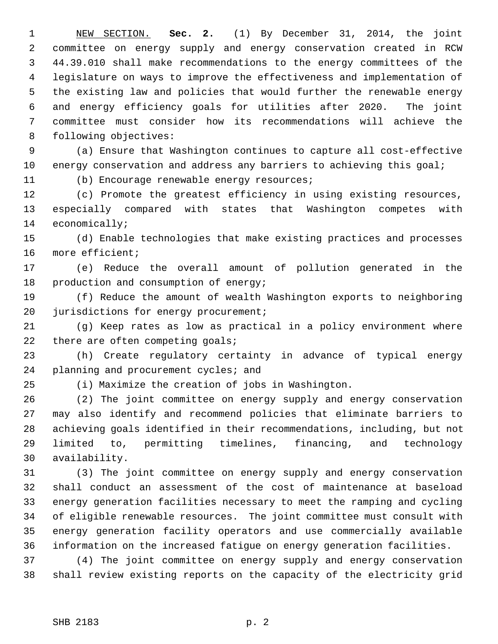1 NEW SECTION. **Sec. 2.** (1) By December 31, 2014, the joint 2 committee on energy supply and energy conservation created in RCW 3 44.39.010 shall make recommendations to the energy committees of the 4 legislature on ways to improve the effectiveness and implementation of 5 the existing law and policies that would further the renewable energy 6 and energy efficiency goals for utilities after 2020. The joint 7 committee must consider how its recommendations will achieve the 8 following objectives:

 9 (a) Ensure that Washington continues to capture all cost-effective 10 energy conservation and address any barriers to achieving this goal;

11 (b) Encourage renewable energy resources;

12 (c) Promote the greatest efficiency in using existing resources, 13 especially compared with states that Washington competes with 14 economically;

15 (d) Enable technologies that make existing practices and processes 16 more efficient;

17 (e) Reduce the overall amount of pollution generated in the 18 production and consumption of energy;

19 (f) Reduce the amount of wealth Washington exports to neighboring 20 jurisdictions for energy procurement;

21 (g) Keep rates as low as practical in a policy environment where 22 there are often competing goals;

23 (h) Create regulatory certainty in advance of typical energy 24 planning and procurement cycles; and

25 (i) Maximize the creation of jobs in Washington.

26 (2) The joint committee on energy supply and energy conservation 27 may also identify and recommend policies that eliminate barriers to 28 achieving goals identified in their recommendations, including, but not 29 limited to, permitting timelines, financing, and technology 30 availability.

31 (3) The joint committee on energy supply and energy conservation 32 shall conduct an assessment of the cost of maintenance at baseload 33 energy generation facilities necessary to meet the ramping and cycling 34 of eligible renewable resources. The joint committee must consult with 35 energy generation facility operators and use commercially available 36 information on the increased fatigue on energy generation facilities.

37 (4) The joint committee on energy supply and energy conservation 38 shall review existing reports on the capacity of the electricity grid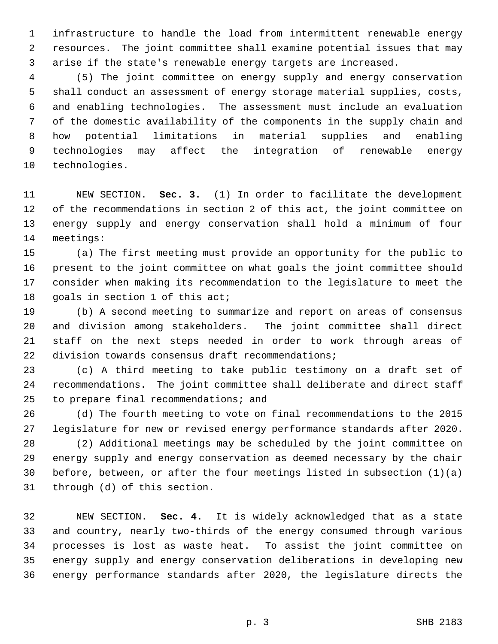1 infrastructure to handle the load from intermittent renewable energy 2 resources. The joint committee shall examine potential issues that may 3 arise if the state's renewable energy targets are increased.

 4 (5) The joint committee on energy supply and energy conservation 5 shall conduct an assessment of energy storage material supplies, costs, 6 and enabling technologies. The assessment must include an evaluation 7 of the domestic availability of the components in the supply chain and 8 how potential limitations in material supplies and enabling 9 technologies may affect the integration of renewable energy 10 technologies.

11 NEW SECTION. **Sec. 3.** (1) In order to facilitate the development 12 of the recommendations in section 2 of this act, the joint committee on 13 energy supply and energy conservation shall hold a minimum of four 14 meetings:

15 (a) The first meeting must provide an opportunity for the public to 16 present to the joint committee on what goals the joint committee should 17 consider when making its recommendation to the legislature to meet the 18 goals in section 1 of this act;

19 (b) A second meeting to summarize and report on areas of consensus 20 and division among stakeholders. The joint committee shall direct 21 staff on the next steps needed in order to work through areas of 22 division towards consensus draft recommendations;

23 (c) A third meeting to take public testimony on a draft set of 24 recommendations. The joint committee shall deliberate and direct staff 25 to prepare final recommendations; and

26 (d) The fourth meeting to vote on final recommendations to the 2015 27 legislature for new or revised energy performance standards after 2020.

28 (2) Additional meetings may be scheduled by the joint committee on 29 energy supply and energy conservation as deemed necessary by the chair 30 before, between, or after the four meetings listed in subsection (1)(a) 31 through (d) of this section.

32 NEW SECTION. **Sec. 4.** It is widely acknowledged that as a state 33 and country, nearly two-thirds of the energy consumed through various 34 processes is lost as waste heat. To assist the joint committee on 35 energy supply and energy conservation deliberations in developing new 36 energy performance standards after 2020, the legislature directs the